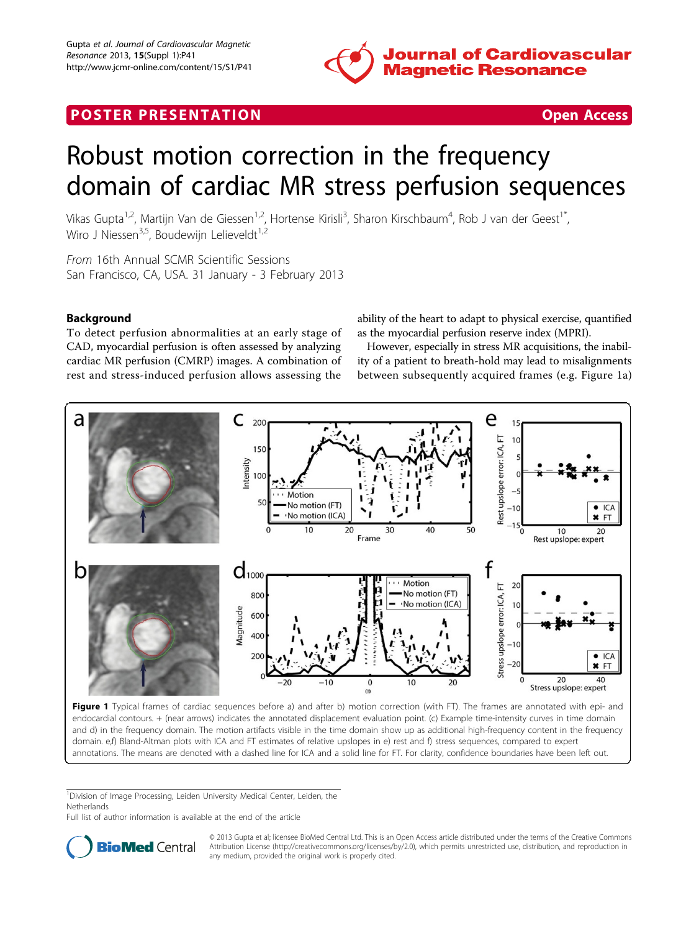

## <span id="page-0-0"></span>**POSTER PRESENTATION CONSUMING THE SECOND CONSUMING THE SECOND CONSUMING THE SECOND CONSUMING THE SECOND CONSUMING THE SECOND CONSUMING THE SECOND CONSUMING THE SECOND CONSUMING THE SECOND CONSUMING THE SECOND CONSUMING**

# Robust motion correction in the frequency domain of cardiac MR stress perfusion sequences

Vikas Gupta<sup>1,2</sup>, Martijn Van de Giessen<sup>1,2</sup>, Hortense Kirisli<sup>3</sup>, Sharon Kirschbaum<sup>4</sup>, Rob J van der Geest<sup>1\*</sup>, Wiro J Niessen<sup>3,5</sup>, Boudewijn Lelieveldt<sup>1,2</sup>

From 16th Annual SCMR Scientific Sessions San Francisco, CA, USA. 31 January - 3 February 2013

### Background

To detect perfusion abnormalities at an early stage of CAD, myocardial perfusion is often assessed by analyzing cardiac MR perfusion (CMRP) images. A combination of rest and stress-induced perfusion allows assessing the

ability of the heart to adapt to physical exercise, quantified as the myocardial perfusion reserve index (MPRI).

However, especially in stress MR acquisitions, the inability of a patient to breath-hold may lead to misalignments between subsequently acquired frames (e.g. Figure 1a)



endocardial contours. + (near arrows) indicates the annotated displacement evaluation point. (c) Example time-intensity curves in time domain and d) in the frequency domain. The motion artifacts visible in the time domain show up as additional high-frequency content in the frequency domain. e,f) Bland-Altman plots with ICA and FT estimates of relative upslopes in e) rest and f) stress sequences, compared to expert annotations. The means are denoted with a dashed line for ICA and a solid line for FT. For clarity, confidence boundaries have been left out.

<sup>1</sup>Division of Image Processing, Leiden University Medical Center, Leiden, the **Netherlands** 

Full list of author information is available at the end of the article



© 2013 Gupta et al; licensee BioMed Central Ltd. This is an Open Access article distributed under the terms of the Creative Commons Attribution License [\(http://creativecommons.org/licenses/by/2.0](http://creativecommons.org/licenses/by/2.0)), which permits unrestricted use, distribution, and reproduction in any medium, provided the original work is properly cited.